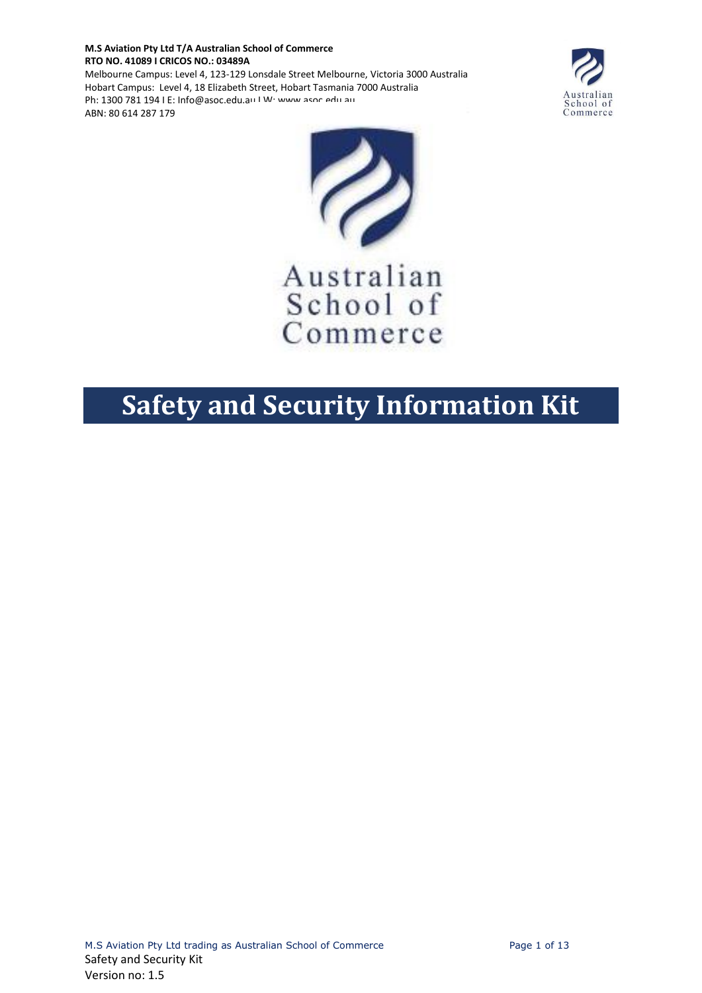**M.S Aviation Pty Ltd T/A Australian School of Commerce RTO NO. 41089 I CRICOS NO.: 03489A** Melbourne Campus: Level 4, 123-129 Lonsdale Street Melbourne, Victoria 3000 Australia Hobart Campus: Level 4, 18 Elizabeth Street, Hobart Tasmania 7000 Australia

Ph: 1300 781 194 | E: Info@asoc.edu.au | W; www.asoc.edu.au

ABN: 80 614 287 179

Australian<br>School of<br>Commerce



Australian School of Commerce

# **Safety and Security Information Kit**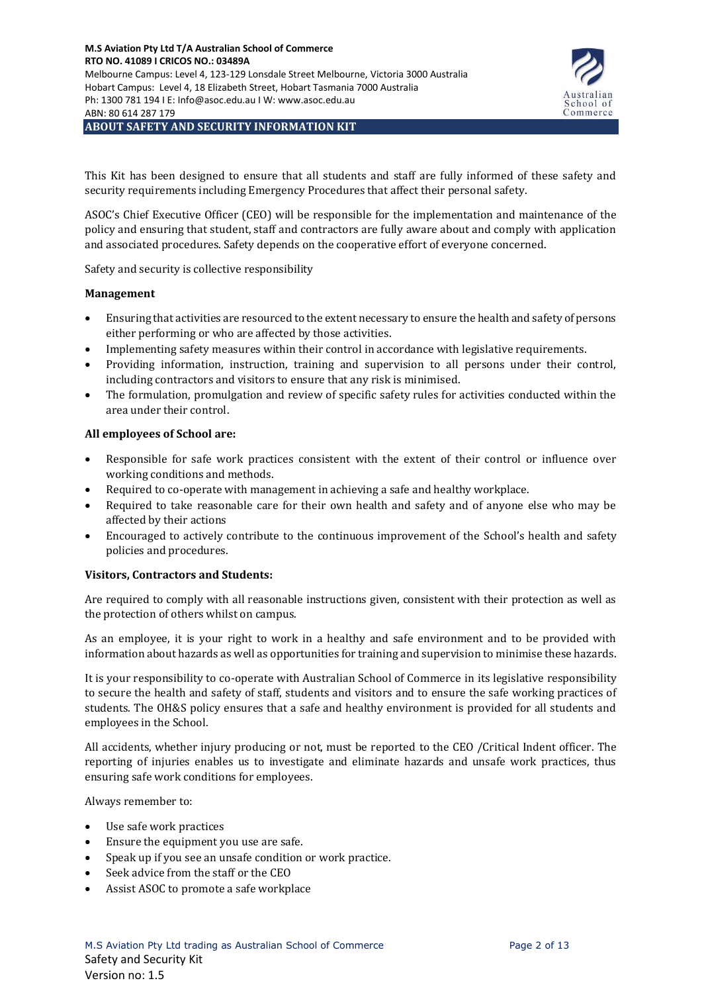

This Kit has been designed to ensure that all students and staff are fully informed of these safety and security requirements including Emergency Procedures that affect their personal safety.

ASOC's Chief Executive Officer (CEO) will be responsible for the implementation and maintenance of the policy and ensuring that student, staff and contractors are fully aware about and comply with application and associated procedures. Safety depends on the cooperative effort of everyone concerned.

Safety and security is collective responsibility

#### **Management**

- Ensuring that activities are resourced to the extent necessary to ensure the health and safety of persons either performing or who are affected by those activities.
- Implementing safety measures within their control in accordance with legislative requirements.
- Providing information, instruction, training and supervision to all persons under their control, including contractors and visitors to ensure that any risk is minimised.
- The formulation, promulgation and review of specific safety rules for activities conducted within the area under their control.

#### **All employees of School are:**

- Responsible for safe work practices consistent with the extent of their control or influence over working conditions and methods.
- Required to co-operate with management in achieving a safe and healthy workplace.
- Required to take reasonable care for their own health and safety and of anyone else who may be affected by their actions
- Encouraged to actively contribute to the continuous improvement of the School's health and safety policies and procedures.

## **Visitors, Contractors and Students:**

Are required to comply with all reasonable instructions given, consistent with their protection as well as the protection of others whilst on campus.

As an employee, it is your right to work in a healthy and safe environment and to be provided with information about hazards as well as opportunities for training and supervision to minimise these hazards.

It is your responsibility to co-operate with Australian School of Commerce in its legislative responsibility to secure the health and safety of staff, students and visitors and to ensure the safe working practices of students. The OH&S policy ensures that a safe and healthy environment is provided for all students and employees in the School.

All accidents, whether injury producing or not, must be reported to the CEO /Critical Indent officer. The reporting of injuries enables us to investigate and eliminate hazards and unsafe work practices, thus ensuring safe work conditions for employees.

Always remember to:

- Use safe work practices
- Ensure the equipment you use are safe.
- Speak up if you see an unsafe condition or work practice.
- Seek advice from the staff or the CEO
- Assist ASOC to promote a safe workplace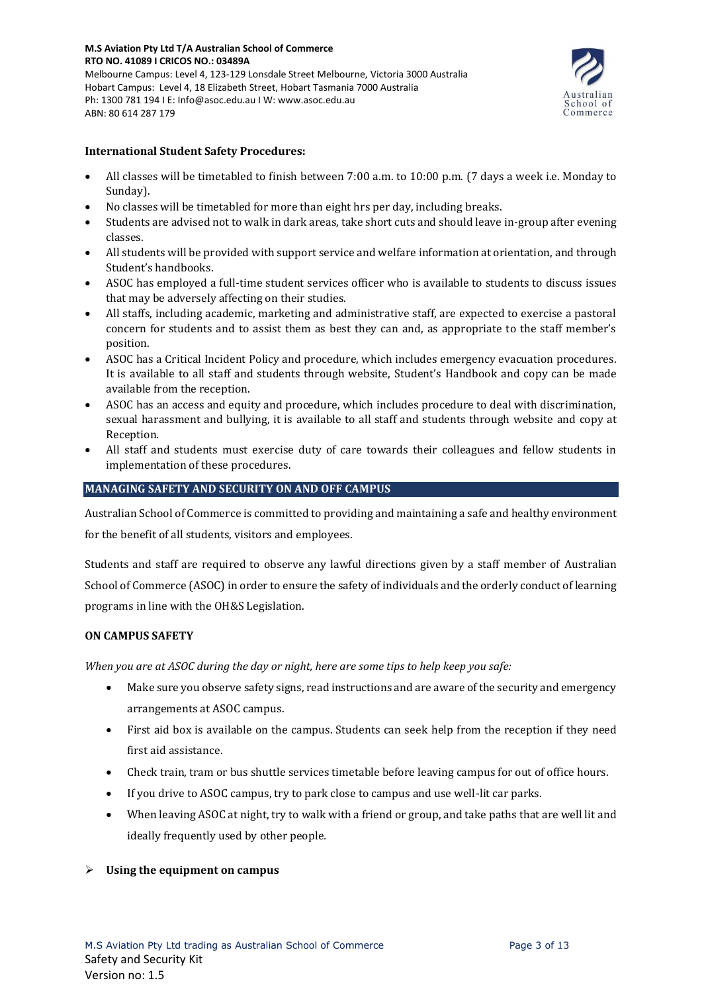

## **International Student Safety Procedures:**

- All classes will be timetabled to finish between 7:00 a.m. to 10:00 p.m. (7 days a week i.e. Monday to Sunday).
- No classes will be timetabled for more than eight hrs per day, including breaks.
- Students are advised not to walk in dark areas, take short cuts and should leave in-group after evening classes.
- All students will be provided with support service and welfare information at orientation, and through Student's handbooks.
- ASOC has employed a full-time student services officer who is available to students to discuss issues that may be adversely affecting on their studies.
- All staffs, including academic, marketing and administrative staff, are expected to exercise a pastoral concern for students and to assist them as best they can and, as appropriate to the staff member's position.
- ASOC has a Critical Incident Policy and procedure, which includes emergency evacuation procedures. It is available to all staff and students through website, Student's Handbook and copy can be made available from the reception.
- ASOC has an access and equity and procedure, which includes procedure to deal with discrimination, sexual harassment and bullying, it is available to all staff and students through website and copy at Reception.
- All staff and students must exercise duty of care towards their colleagues and fellow students in implementation of these procedures.

## **MANAGING SAFETY AND SECURITY ON AND OFF CAMPUS**

Australian School of Commerce is committed to providing and maintaining a safe and healthy environment for the benefit of all students, visitors and employees.

Students and staff are required to observe any lawful directions given by a staff member of Australian School of Commerce (ASOC) in order to ensure the safety of individuals and the orderly conduct of learning programs in line with the OH&S Legislation.

## **ON CAMPUS SAFETY**

*When you are at ASOC during the day or night, here are some tips to help keep you safe:*

- Make sure you observe safety signs, read instructions and are aware of the security and emergency arrangements at ASOC campus.
- First aid box is available on the campus. Students can seek help from the reception if they need first aid assistance.
- Check train, tram or bus shuttle services timetable before leaving campus for out of office hours.
- If you drive to ASOC campus, try to park close to campus and use well-lit car parks.
- When leaving ASOC at night, try to walk with a friend or group, and take paths that are well lit and ideally frequently used by other people*.*

## ➢ **Using the equipment on campus**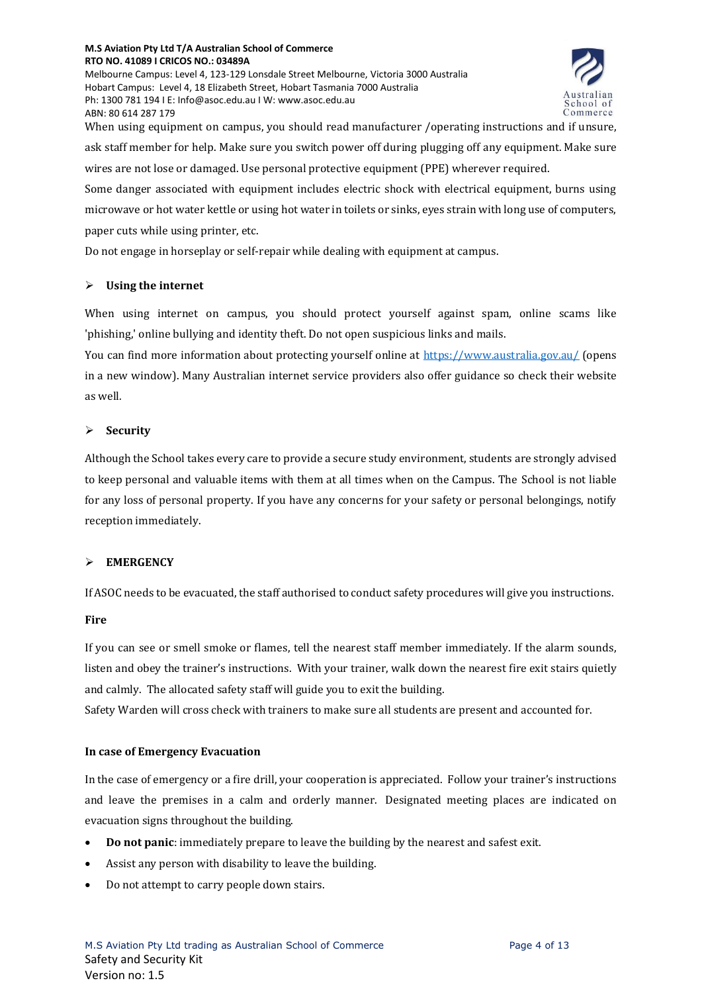Melbourne Campus: Level 4, 123-129 Lonsdale Street Melbourne, Victoria 3000 Australia Hobart Campus: Level 4, 18 Elizabeth Street, Hobart Tasmania 7000 Australia Ph: 1300 781 194 I E: Info@asoc.edu.au I W: www.asoc.edu.au ABN: 80 614 287 179



When using equipment on campus, you should read manufacturer /operating instructions and if unsure, ask staff member for help. Make sure you switch power off during plugging off any equipment. Make sure wires are not lose or damaged. Use personal protective equipment (PPE) wherever required. Some danger associated with equipment includes electric shock with electrical equipment, burns using

microwave or hot water kettle or using hot water in toilets or sinks, eyes strain with long use of computers, paper cuts while using printer, etc.

Do not engage in horseplay or self-repair while dealing with equipment at campus.

## ➢ **Using the internet**

When using internet on campus, you should protect yourself against spam, online scams like 'phishing,' online bullying and identity theft. Do not open suspicious links and mails.

You can find more information about protecting yourself online at<https://www.australia.gov.au/> (opens in a new window). Many Australian internet service providers also offer guidance so check their website as well*.*

# ➢ **Security**

Although the School takes every care to provide a secure study environment, students are strongly advised to keep personal and valuable items with them at all times when on the Campus. The School is not liable for any loss of personal property. If you have any concerns for your safety or personal belongings, notify reception immediately.

# ➢ **EMERGENCY**

If ASOC needs to be evacuated, the staff authorised to conduct safety procedures will give you instructions.

## **Fire**

If you can see or smell smoke or flames, tell the nearest staff member immediately. If the alarm sounds, listen and obey the trainer's instructions. With your trainer, walk down the nearest fire exit stairs quietly and calmly. The allocated safety staff will guide you to exit the building. Safety Warden will cross check with trainers to make sure all students are present and accounted for.

## **In case of Emergency Evacuation**

In the case of emergency or a fire drill, your cooperation is appreciated. Follow your trainer's instructions and leave the premises in a calm and orderly manner. Designated meeting places are indicated on evacuation signs throughout the building.

- **Do not panic**: immediately prepare to leave the building by the nearest and safest exit.
- Assist any person with disability to leave the building.
- Do not attempt to carry people down stairs.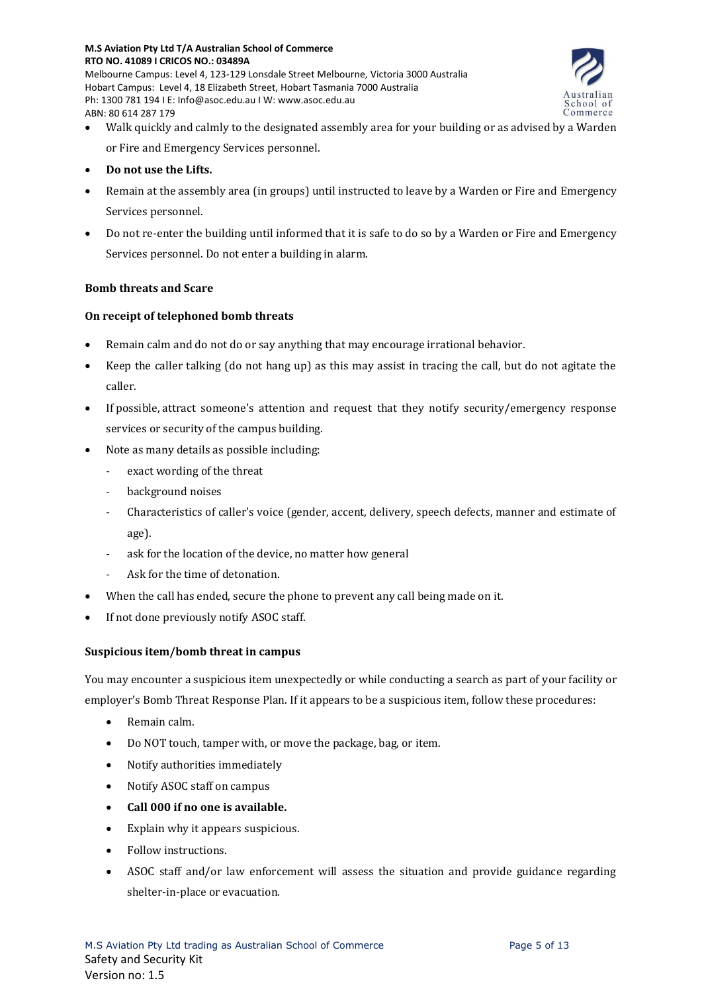

- Walk quickly and calmly to the designated assembly area for your building or as advised by a Warden or Fire and Emergency Services personnel.
- **Do not use the Lifts.**

ABN: 80 614 287 179

- Remain at the assembly area (in groups) until instructed to leave by a Warden or Fire and Emergency Services personnel.
- Do not re-enter the building until informed that it is safe to do so by a Warden or Fire and Emergency Services personnel. Do not enter a building in alarm.

# **Bomb threats and Scare**

# **On receipt of telephoned bomb threats**

- Remain calm and do not do or say anything that may encourage irrational behavior.
- Keep the caller talking (do not hang up) as this may assist in tracing the call, but do not agitate the caller.
- If possible, attract someone's attention and request that they notify security/emergency response services or security of the campus building.
- Note as many details as possible including:
	- exact wording of the threat
	- background noises
	- Characteristics of caller's voice (gender, accent, delivery, speech defects, manner and estimate of age).
	- ask for the location of the device, no matter how general
	- Ask for the time of detonation.
- When the call has ended, secure the phone to prevent any call being made on it.
- If not done previously notify ASOC staff.

## **Suspicious item/bomb threat in campus**

You may encounter a suspicious item unexpectedly or while conducting a search as part of your facility or employer's Bomb Threat Response Plan. If it appears to be a suspicious item, follow these procedures:

- Remain calm.
- Do NOT touch, tamper with, or move the package, bag, or item.
- Notify authorities immediately
- Notify ASOC staff on campus
- **Call 000 if no one is available.**
- Explain why it appears suspicious.
- Follow instructions.
- ASOC staff and/or law enforcement will assess the situation and provide guidance regarding shelter-in-place or evacuation.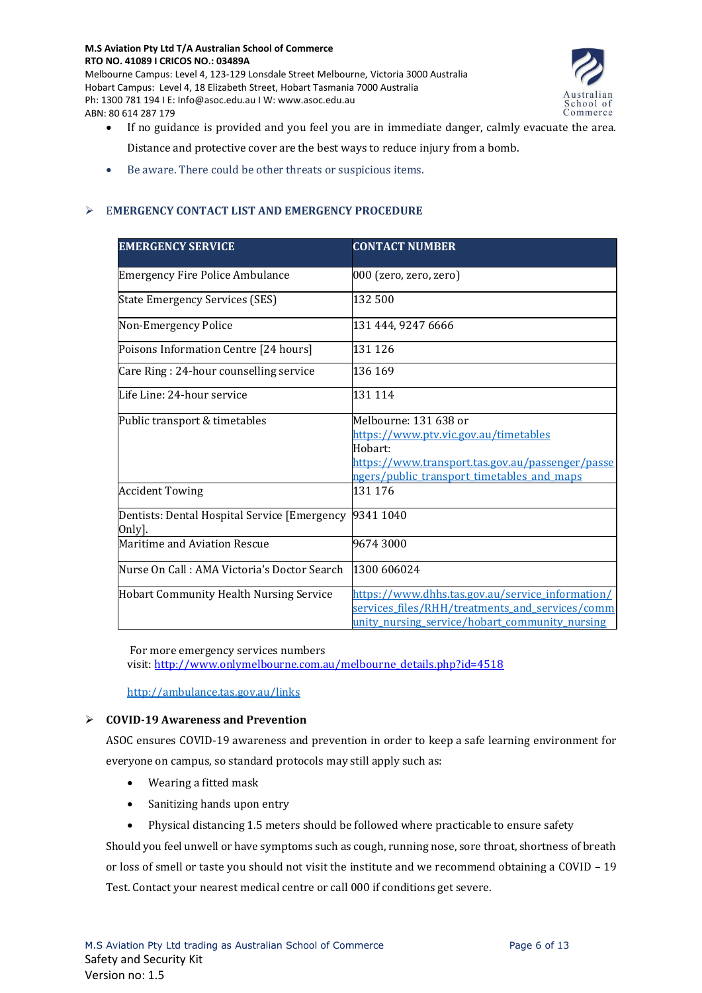

- If no guidance is provided and you feel you are in immediate danger, calmly evacuate the area. Distance and protective cover are the best ways to reduce injury from a bomb.
- Be aware. There could be other threats or suspicious items.

# ➢ E**MERGENCY CONTACT LIST AND EMERGENCY PROCEDURE**

| <b>EMERGENCY SERVICE</b>                               | <b>CONTACT NUMBER</b>                                                                                                                                                       |
|--------------------------------------------------------|-----------------------------------------------------------------------------------------------------------------------------------------------------------------------------|
| <b>Emergency Fire Police Ambulance</b>                 | 000 (zero, zero, zero)                                                                                                                                                      |
| <b>State Emergency Services (SES)</b>                  | 132 500                                                                                                                                                                     |
| Non-Emergency Police                                   | 131 444, 9247 6666                                                                                                                                                          |
| Poisons Information Centre [24 hours]                  | 131 126                                                                                                                                                                     |
| Care Ring: 24-hour counselling service                 | 136 169                                                                                                                                                                     |
| Life Line: 24-hour service                             | 131 114                                                                                                                                                                     |
| Public transport & timetables                          | Melbourne: 131 638 or<br>https://www.ptv.vic.gov.au/timetables<br>Hobart:<br>https://www.transport.tas.gov.au/passenger/passe<br>ngers/public transport timetables and maps |
| <b>Accident Towing</b>                                 | 131 176                                                                                                                                                                     |
| Dentists: Dental Hospital Service [Emergency<br>Only]. | 9341 1040                                                                                                                                                                   |
| Maritime and Aviation Rescue                           | 96743000                                                                                                                                                                    |
| Nurse On Call : AMA Victoria's Doctor Search           | 1300 606024                                                                                                                                                                 |
| <b>Hobart Community Health Nursing Service</b>         | https://www.dhhs.tas.gov.au/service_information/<br>services files/RHH/treatments_and_services/comm<br>unity nursing service/hobart community nursing                       |

For more emergency services numbers

visit: [http://www.onlymelbourne.com.au/melbourne\\_details.php?id=4518](http://www.onlymelbourne.com.au/melbourne_details.php?id=4518)

<http://ambulance.tas.gov.au/links>

## ➢ **COVID-19 Awareness and Prevention**

ASOC ensures COVID-19 awareness and prevention in order to keep a safe learning environment for everyone on campus, so standard protocols may still apply such as:

- Wearing a fitted mask
- Sanitizing hands upon entry
- Physical distancing 1.5 meters should be followed where practicable to ensure safety

Should you feel unwell or have symptoms such as cough, running nose, sore throat, shortness of breath or loss of smell or taste you should not visit the institute and we recommend obtaining a COVID – 19 Test. Contact your nearest medical centre or call 000 if conditions get severe.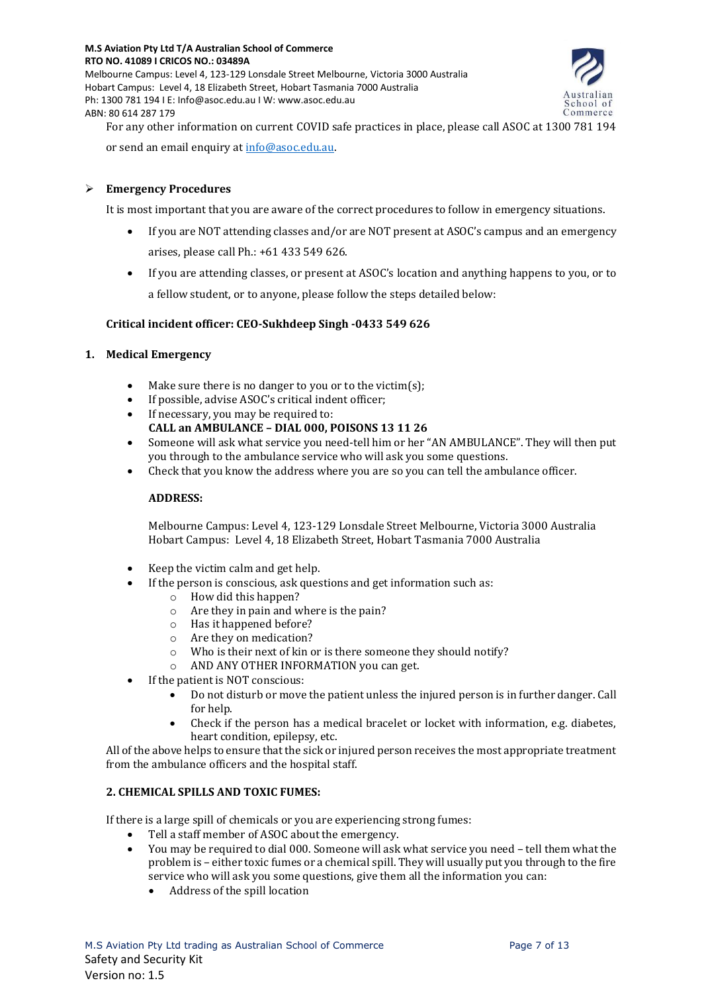Melbourne Campus: Level 4, 123-129 Lonsdale Street Melbourne, Victoria 3000 Australia Hobart Campus: Level 4, 18 Elizabeth Street, Hobart Tasmania 7000 Australia Ph: 1300 781 194 I E: Info@asoc.edu.au I W: www.asoc.edu.au ABN: 80 614 287 179



For any other information on current COVID safe practices in place, please call ASOC at 1300 781 194 or send an email enquiry a[t info@asoc.edu.au.](mailto:info@asoc.edu.au)

# ➢ **Emergency Procedures**

It is most important that you are aware of the correct procedures to follow in emergency situations.

- If you are NOT attending classes and/or are NOT present at ASOC's campus and an emergency arises, please call Ph.: +61 433 549 626.
- If you are attending classes, or present at ASOC's location and anything happens to you, or to a fellow student, or to anyone, please follow the steps detailed below:

## **Critical incident officer: CEO-Sukhdeep Singh -0433 549 626**

#### **1. Medical Emergency**

- Make sure there is no danger to you or to the victim(s);
- If possible, advise ASOC's critical indent officer;
- If necessary, you may be required to:
- **CALL an AMBULANCE – DIAL 000, POISONS 13 11 26**
- Someone will ask what service you need-tell him or her "AN AMBULANCE". They will then put you through to the ambulance service who will ask you some questions.
- Check that you know the address where you are so you can tell the ambulance officer.

#### **ADDRESS:**

Melbourne Campus: Level 4, 123-129 Lonsdale Street Melbourne, Victoria 3000 Australia Hobart Campus: Level 4, 18 Elizabeth Street, Hobart Tasmania 7000 Australia

- Keep the victim calm and get help.
- If the person is conscious, ask questions and get information such as:
	- o How did this happen?
	- o Are they in pain and where is the pain?
	- o Has it happened before?
	- o Are they on medication?
	- o Who is their next of kin or is there someone they should notify?
	- o AND ANY OTHER INFORMATION you can get.
- If the patient is NOT conscious:
	- Do not disturb or move the patient unless the injured person is in further danger. Call for help.
	- Check if the person has a medical bracelet or locket with information, e.g. diabetes, heart condition, epilepsy, etc.

All of the above helps to ensure that the sick or injured person receives the most appropriate treatment from the ambulance officers and the hospital staff.

## **2. CHEMICAL SPILLS AND TOXIC FUMES:**

If there is a large spill of chemicals or you are experiencing strong fumes:

- Tell a staff member of ASOC about the emergency.
- You may be required to dial 000. Someone will ask what service you need tell them what the problem is – either toxic fumes or a chemical spill. They will usually put you through to the fire service who will ask you some questions, give them all the information you can:
	- Address of the spill location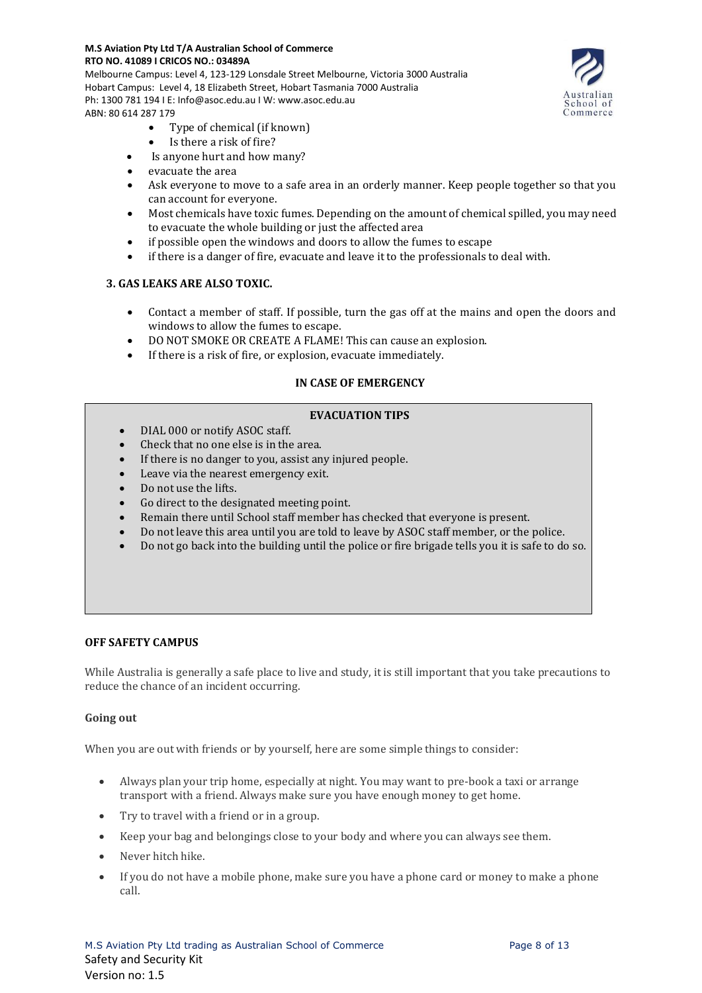Melbourne Campus: Level 4, 123-129 Lonsdale Street Melbourne, Victoria 3000 Australia Hobart Campus: Level 4, 18 Elizabeth Street, Hobart Tasmania 7000 Australia Ph: 1300 781 194 I E: Info@asoc.edu.au I W: www.asoc.edu.au ABN: 80 614 287 179

School of Commerce

- Type of chemical (if known)
- Is there a risk of fire?
- Is anyone hurt and how many?
- evacuate the area
- Ask everyone to move to a safe area in an orderly manner. Keep people together so that you can account for everyone.
- Most chemicals have toxic fumes. Depending on the amount of chemical spilled, you may need to evacuate the whole building or just the affected area
- if possible open the windows and doors to allow the fumes to escape
- if there is a danger of fire, evacuate and leave it to the professionals to deal with.

#### **3. GAS LEAKS ARE ALSO TOXIC.**

- Contact a member of staff. If possible, turn the gas off at the mains and open the doors and windows to allow the fumes to escape.
- DO NOT SMOKE OR CREATE A FLAME! This can cause an explosion.
- If there is a risk of fire, or explosion, evacuate immediately.

# **IN CASE OF EMERGENCY**

#### **EVACUATION TIPS**

- DIAL 000 or notify ASOC staff.
- Check that no one else is in the area.
- If there is no danger to you, assist any injured people.
- Leave via the nearest emergency exit.
- Do not use the lifts.
- Go direct to the designated meeting point.
- Remain there until School staff member has checked that everyone is present.
- Do not leave this area until you are told to leave by ASOC staff member, or the police.
- Do not go back into the building until the police or fire brigade tells you it is safe to do so.

#### **OFF SAFETY CAMPUS**

While Australia is generally a safe place to live and study, it is still important that you take precautions to reduce the chance of an incident occurring.

#### **Going out**

When you are out with friends or by yourself, here are some simple things to consider:

- Always plan your trip home, especially at night. You may want to pre-book a taxi or arrange transport with a friend. Always make sure you have enough money to get home.
- Try to travel with a friend or in a group.
- Keep your bag and belongings close to your body and where you can always see them.
- Never hitch hike.
- If you do not have a mobile phone, make sure you have a phone card or money to make a phone call.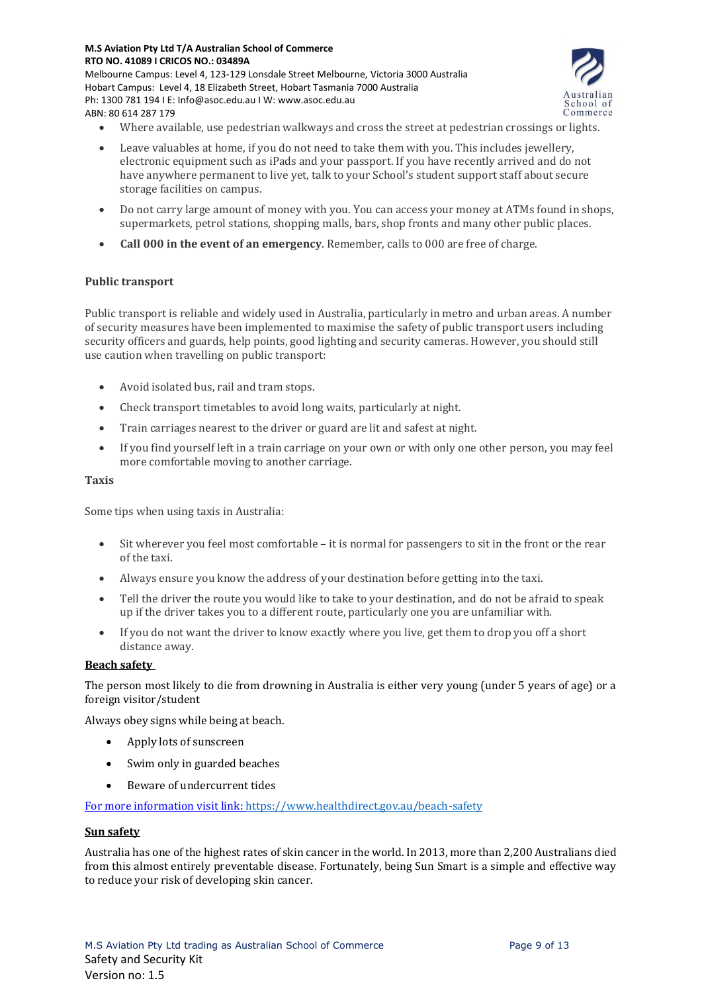Melbourne Campus: Level 4, 123-129 Lonsdale Street Melbourne, Victoria 3000 Australia Hobart Campus: Level 4, 18 Elizabeth Street, Hobart Tasmania 7000 Australia Ph: 1300 781 194 I E: Info@asoc.edu.au I W: www.asoc.edu.au ABN: 80 614 287 179



- Where available, use pedestrian walkways and cross the street at pedestrian crossings or lights.
- Leave valuables at home, if you do not need to take them with you. This includes jewellery, electronic equipment such as iPads and your passport. If you have recently arrived and do not have anywhere permanent to live yet, talk to your School's student support staff about secure storage facilities on campus.
- Do not carry large amount of money with you. You can access your money at ATMs found in shops, supermarkets, petrol stations, shopping malls, bars, shop fronts and many other public places.
- **Call 000 in the event of an emergency**. Remember, calls to 000 are free of charge.

## **Public transport**

Public transport is reliable and widely used in Australia, particularly in metro and urban areas. A number of security measures have been implemented to maximise the safety of public transport users including security officers and guards, help points, good lighting and security cameras. However, you should still use caution when travelling on public transport:

- Avoid isolated bus, rail and tram stops.
- Check transport timetables to avoid long waits, particularly at night.
- Train carriages nearest to the driver or guard are lit and safest at night.
- If you find yourself left in a train carriage on your own or with only one other person, you may feel more comfortable moving to another carriage.

#### **Taxis**

Some tips when using taxis in Australia:

- Sit wherever you feel most comfortable it is normal for passengers to sit in the front or the rear of the taxi.
- Always ensure you know the address of your destination before getting into the taxi.
- Tell the driver the route you would like to take to your destination, and do not be afraid to speak up if the driver takes you to a different route, particularly one you are unfamiliar with.
- If you do not want the driver to know exactly where you live, get them to drop you off a short distance away.

#### **Beach safety**

The person most likely to die from drowning in Australia is either very young (under 5 years of age) or a foreign visitor/student

Always obey signs while being at beach.

- Apply lots of sunscreen
- Swim only in guarded beaches
- Beware of undercurrent tides

For more information visit link:<https://www.healthdirect.gov.au/beach-safety>

#### **Sun safety**

Australia has one of the highest rates of skin cancer in the world. In 2013, more than 2,200 Australians died from this almost entirely preventable disease. Fortunately, being Sun Smart is a simple and effective way to reduce your risk of developing skin cancer.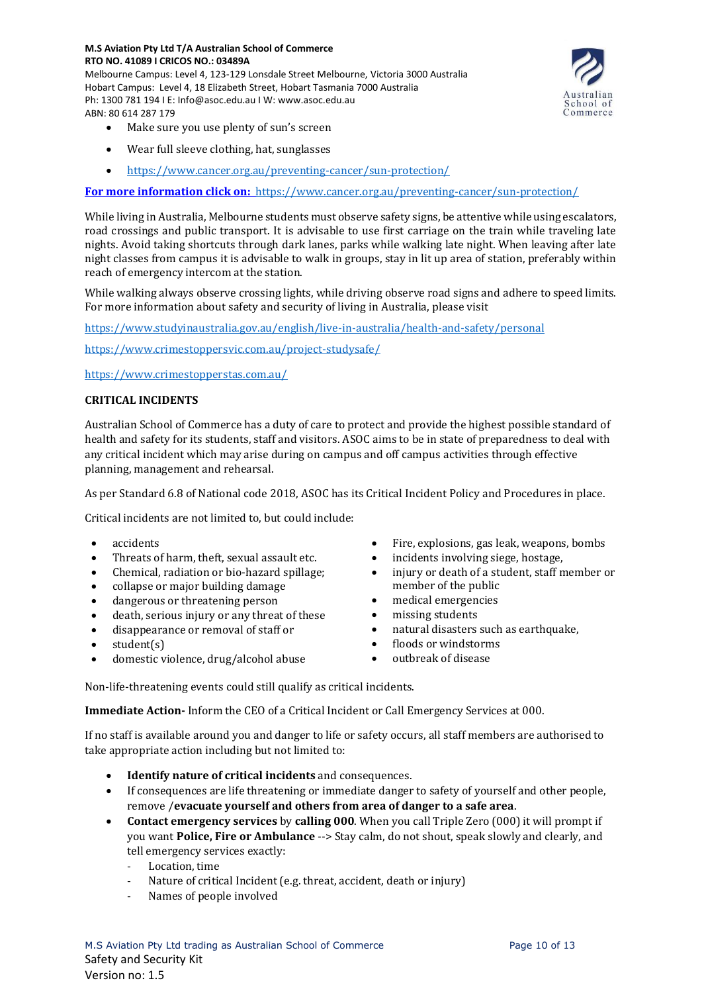Melbourne Campus: Level 4, 123-129 Lonsdale Street Melbourne, Victoria 3000 Australia Hobart Campus: Level 4, 18 Elizabeth Street, Hobart Tasmania 7000 Australia Ph: 1300 781 194 I E: Info@asoc.edu.au I W: www.asoc.edu.au ABN: 80 614 287 179



- Make sure you use plenty of sun's screen
- Wear full sleeve clothing, hat, sunglasses
- <https://www.cancer.org.au/preventing-cancer/sun-protection/>

**For more information click on:** <https://www.cancer.org.au/preventing-cancer/sun-protection/>

While living in Australia, Melbourne students must observe safety signs, be attentive while using escalators, road crossings and public transport. It is advisable to use first carriage on the train while traveling late nights. Avoid taking shortcuts through dark lanes, parks while walking late night. When leaving after late night classes from campus it is advisable to walk in groups, stay in lit up area of station, preferably within reach of emergency intercom at the station.

While walking always observe crossing lights, while driving observe road signs and adhere to speed limits. For more information about safety and security of living in Australia, please visit

<https://www.studyinaustralia.gov.au/english/live-in-australia/health-and-safety/personal>

<https://www.crimestoppersvic.com.au/project-studysafe/>

<https://www.crimestopperstas.com.au/>

## **CRITICAL INCIDENTS**

Australian School of Commerce has a duty of care to protect and provide the highest possible standard of health and safety for its students, staff and visitors. ASOC aims to be in state of preparedness to deal with any critical incident which may arise during on campus and off campus activities through effective planning, management and rehearsal.

As per Standard 6.8 of National code 2018, ASOC has its Critical Incident Policy and Procedures in place.

Critical incidents are not limited to, but could include:

- accidents
- Threats of harm, theft, sexual assault etc.
- Chemical, radiation or bio-hazard spillage;
- collapse or major building damage
- dangerous or threatening person
- death, serious injury or any threat of these
- disappearance or removal of staff or
- student(s)
- domestic violence, drug/alcohol abuse
- Fire, explosions, gas leak, weapons, bombs
- incidents involving siege, hostage,
- injury or death of a student, staff member or member of the public
- medical emergencies
- missing students
- natural disasters such as earthquake,
- floods or windstorms
- outbreak of disease

Non-life-threatening events could still qualify as critical incidents.

**Immediate Action-** Inform the CEO of a Critical Incident or Call Emergency Services at 000.

If no staff is available around you and danger to life or safety occurs, all staff members are authorised to take appropriate action including but not limited to:

- **Identify nature of critical incidents** and consequences.
- If consequences are life threatening or immediate danger to safety of yourself and other people, remove /**evacuate yourself and others from area of danger to a safe area**.
- **Contact emergency services** by **calling 000**. When you call Triple Zero (000) it will prompt if you want **Police, Fire or Ambulance** --> Stay calm, do not shout, speak slowly and clearly, and tell emergency services exactly:
	- Location, time
	- Nature of critical Incident (e.g. threat, accident, death or injury)
	- Names of people involved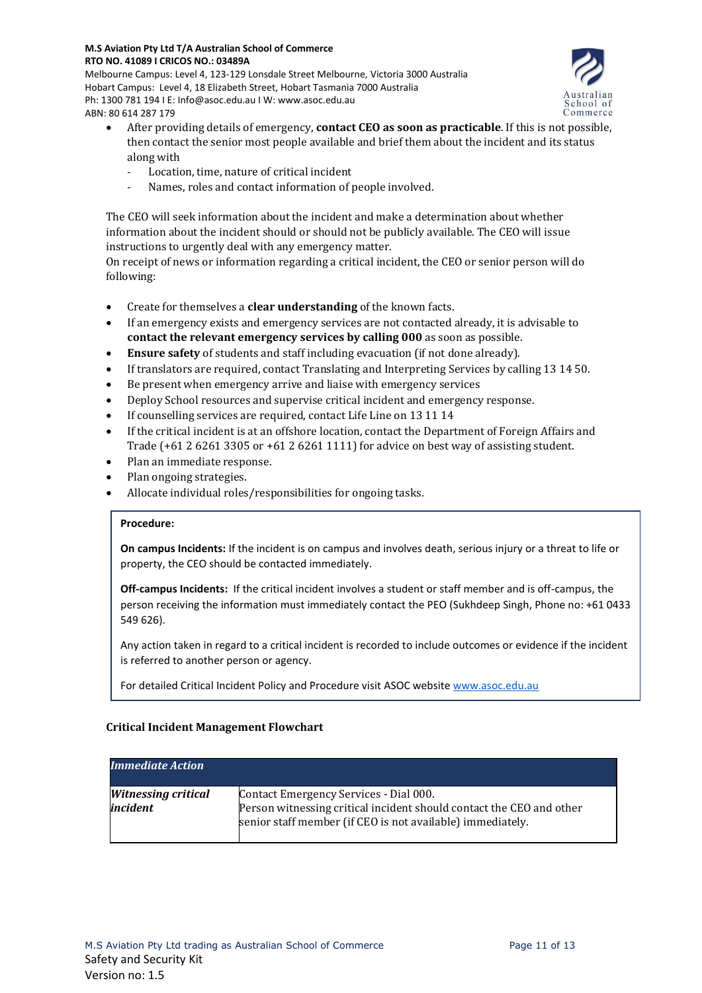Melbourne Campus: Level 4, 123-129 Lonsdale Street Melbourne, Victoria 3000 Australia Hobart Campus: Level 4, 18 Elizabeth Street, Hobart Tasmania 7000 Australia Ph: 1300 781 194 I E: Info@asoc.edu.au I W: www.asoc.edu.au ABN: 80 614 287 179



- After providing details of emergency, **contact CEO as soon as practicable**. If this is not possible, then contact the senior most people available and brief them about the incident and its status along with
	- Location, time, nature of critical incident
	- Names, roles and contact information of people involved.

The CEO will seek information about the incident and make a determination about whether information about the incident should or should not be publicly available. The CEO will issue instructions to urgently deal with any emergency matter.

On receipt of news or information regarding a critical incident, the CEO or senior person will do following:

- Create for themselves a **clear understanding** of the known facts.
- If an emergency exists and emergency services are not contacted already, it is advisable to **contact the relevant emergency services by calling 000** as soon as possible.
- **Ensure safety** of students and staff including evacuation (if not done already).
- If translators are required, contact Translating and Interpreting Services by calling 13 14 50.
- Be present when emergency arrive and liaise with emergency services
- Deploy School resources and supervise critical incident and emergency response.
- If counselling services are required, contact Life Line on 13 11 14
- If the critical incident is at an offshore location, contact the Department of Foreign Affairs and Trade (+61 2 6261 3305 or +61 2 6261 1111) for advice on best way of assisting student.
- Plan an immediate response.
- Plan ongoing strategies.
- Allocate individual roles/responsibilities for ongoing tasks.

## **Procedure:**

**On campus Incidents:** If the incident is on campus and involves death, serious injury or a threat to life or property, the CEO should be contacted immediately.

**Off-campus Incidents:** If the critical incident involves a student or staff member and is off-campus, the person receiving the information must immediately contact the PEO (Sukhdeep Singh, Phone no: +61 0433 549 626).

Any action taken in regard to a critical incident is recorded to include outcomes or evidence if the incident is referred to another person or agency.

For detailed Critical Incident Policy and Procedure visit ASOC websit[e www.asoc.edu.au](http://www.asoc.edu.au/)

## **Critical Incident Management Flowchart**

| <b>Immediate Action</b>                |                                                                                                                                                                              |
|----------------------------------------|------------------------------------------------------------------------------------------------------------------------------------------------------------------------------|
| <b>Witnessing critical</b><br>incident | Contact Emergency Services - Dial 000.<br>Person witnessing critical incident should contact the CEO and other<br>senior staff member (if CEO is not available) immediately. |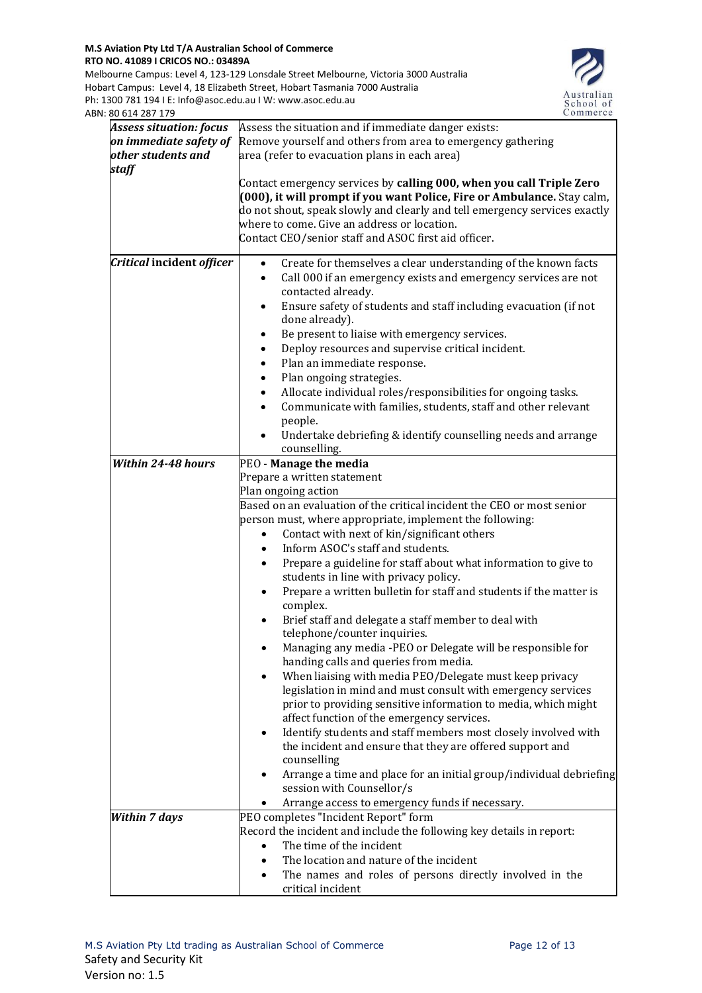Melbourne Campus: Level 4, 123-129 Lonsdale Street Melbourne, Victoria 3000 Australia Hobart Campus: Level 4, 18 Elizabeth Street, Hobart Tasmania 7000 Australia Ph: 1300 781 194 I E: Info@asoc.edu.au I W: www.asoc.edu.au ABN: 80 614 287 179



| 00 <del>01 1</del> 201 17      |                                                                                                                                                                                                                                                                                                                                                                                                                                                                                                                                                                         |  |
|--------------------------------|-------------------------------------------------------------------------------------------------------------------------------------------------------------------------------------------------------------------------------------------------------------------------------------------------------------------------------------------------------------------------------------------------------------------------------------------------------------------------------------------------------------------------------------------------------------------------|--|
| <b>Assess situation: focus</b> | Assess the situation and if immediate danger exists:                                                                                                                                                                                                                                                                                                                                                                                                                                                                                                                    |  |
| on immediate safety of         | Remove yourself and others from area to emergency gathering                                                                                                                                                                                                                                                                                                                                                                                                                                                                                                             |  |
| other students and             | area (refer to evacuation plans in each area)                                                                                                                                                                                                                                                                                                                                                                                                                                                                                                                           |  |
| staff                          |                                                                                                                                                                                                                                                                                                                                                                                                                                                                                                                                                                         |  |
|                                | Contact emergency services by calling 000, when you call Triple Zero<br>(000), it will prompt if you want Police, Fire or Ambulance. Stay calm,<br>do not shout, speak slowly and clearly and tell emergency services exactly<br>where to come. Give an address or location.<br>Contact CEO/senior staff and ASOC first aid officer.                                                                                                                                                                                                                                    |  |
| Critical incident officer      | Create for themselves a clear understanding of the known facts<br>Call 000 if an emergency exists and emergency services are not<br>$\bullet$<br>contacted already.<br>Ensure safety of students and staff including evacuation (if not<br>done already).<br>Be present to liaise with emergency services.<br>Deploy resources and supervise critical incident.<br>Plan an immediate response.<br>Plan ongoing strategies.<br>Allocate individual roles/responsibilities for ongoing tasks.<br>Communicate with families, students, staff and other relevant<br>people. |  |
|                                | Undertake debriefing & identify counselling needs and arrange                                                                                                                                                                                                                                                                                                                                                                                                                                                                                                           |  |
|                                | counselling.                                                                                                                                                                                                                                                                                                                                                                                                                                                                                                                                                            |  |
| <b>Within 24-48 hours</b>      | PEO - Manage the media                                                                                                                                                                                                                                                                                                                                                                                                                                                                                                                                                  |  |
|                                | Prepare a written statement                                                                                                                                                                                                                                                                                                                                                                                                                                                                                                                                             |  |
|                                | Plan ongoing action                                                                                                                                                                                                                                                                                                                                                                                                                                                                                                                                                     |  |
|                                | Based on an evaluation of the critical incident the CEO or most senior                                                                                                                                                                                                                                                                                                                                                                                                                                                                                                  |  |
|                                | person must, where appropriate, implement the following:                                                                                                                                                                                                                                                                                                                                                                                                                                                                                                                |  |
|                                | Contact with next of kin/significant others                                                                                                                                                                                                                                                                                                                                                                                                                                                                                                                             |  |
|                                | Inform ASOC's staff and students.                                                                                                                                                                                                                                                                                                                                                                                                                                                                                                                                       |  |
|                                | Prepare a guideline for staff about what information to give to                                                                                                                                                                                                                                                                                                                                                                                                                                                                                                         |  |
|                                | students in line with privacy policy.                                                                                                                                                                                                                                                                                                                                                                                                                                                                                                                                   |  |
|                                | Prepare a written bulletin for staff and students if the matter is<br>complex.                                                                                                                                                                                                                                                                                                                                                                                                                                                                                          |  |
|                                | Brief staff and delegate a staff member to deal with<br>telephone/counter inquiries.                                                                                                                                                                                                                                                                                                                                                                                                                                                                                    |  |
|                                | Managing any media -PEO or Delegate will be responsible for<br>handing calls and queries from media.                                                                                                                                                                                                                                                                                                                                                                                                                                                                    |  |
|                                | When liaising with media PEO/Delegate must keep privacy<br>legislation in mind and must consult with emergency services<br>prior to providing sensitive information to media, which might                                                                                                                                                                                                                                                                                                                                                                               |  |
|                                | affect function of the emergency services.<br>Identify students and staff members most closely involved with<br>the incident and ensure that they are offered support and                                                                                                                                                                                                                                                                                                                                                                                               |  |
|                                | counselling<br>Arrange a time and place for an initial group/individual debriefing<br>session with Counsellor/s                                                                                                                                                                                                                                                                                                                                                                                                                                                         |  |
|                                | Arrange access to emergency funds if necessary.                                                                                                                                                                                                                                                                                                                                                                                                                                                                                                                         |  |
| <b>Within 7 days</b>           | PEO completes "Incident Report" form                                                                                                                                                                                                                                                                                                                                                                                                                                                                                                                                    |  |
|                                | Record the incident and include the following key details in report:                                                                                                                                                                                                                                                                                                                                                                                                                                                                                                    |  |
|                                | The time of the incident<br>$\bullet$                                                                                                                                                                                                                                                                                                                                                                                                                                                                                                                                   |  |
|                                | The location and nature of the incident                                                                                                                                                                                                                                                                                                                                                                                                                                                                                                                                 |  |
|                                | The names and roles of persons directly involved in the                                                                                                                                                                                                                                                                                                                                                                                                                                                                                                                 |  |
|                                | critical incident                                                                                                                                                                                                                                                                                                                                                                                                                                                                                                                                                       |  |